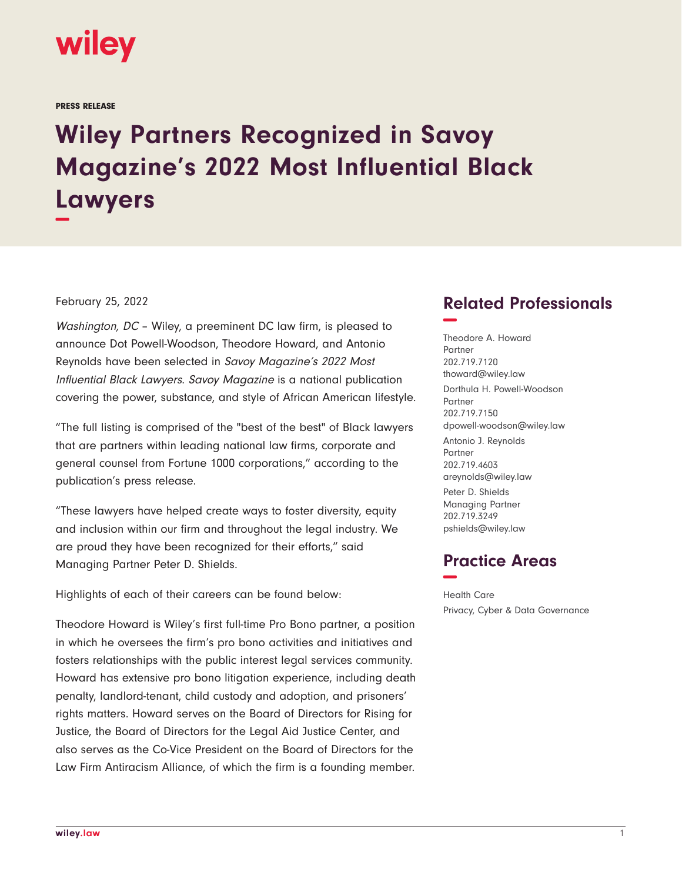

PRESS RELEASE

## **Wiley Partners Recognized in Savoy Magazine's 2022 Most Influential Black Lawyers −**

## February 25, 2022

Washington, DC – Wiley, a preeminent DC law firm, is pleased to announce Dot Powell-Woodson, Theodore Howard, and Antonio Reynolds have been selected in Savoy Magazine's 2022 Most Influential Black Lawyers. Savoy Magazine is a national publication covering the power, substance, and style of African American lifestyle.

"The full listing is comprised of the "best of the best" of Black lawyers that are partners within leading national law firms, corporate and general counsel from Fortune 1000 corporations," according to the publication's press release.

"These lawyers have helped create ways to foster diversity, equity and inclusion within our firm and throughout the legal industry. We are proud they have been recognized for their efforts," said Managing Partner Peter D. Shields.

Highlights of each of their careers can be found below:

Theodore Howard is Wiley's first full-time Pro Bono partner, a position in which he oversees the firm's pro bono activities and initiatives and fosters relationships with the public interest legal services community. Howard has extensive pro bono litigation experience, including death penalty, landlord-tenant, child custody and adoption, and prisoners' rights matters. Howard serves on the Board of Directors for Rising for Justice, the Board of Directors for the Legal Aid Justice Center, and also serves as the Co-Vice President on the Board of Directors for the Law Firm Antiracism Alliance, of which the firm is a founding member.

## **Related Professionals −**

Theodore A. Howard Partner 202.719.7120 thoward@wiley.law Dorthula H. Powell-Woodson Partner 202.719.7150 dpowell-woodson@wiley.law Antonio J. Reynolds Partner 202.719.4603 areynolds@wiley.law Peter D. Shields Managing Partner 202.719.3249 pshields@wiley.law

## **Practice Areas −**

Health Care Privacy, Cyber & Data Governance